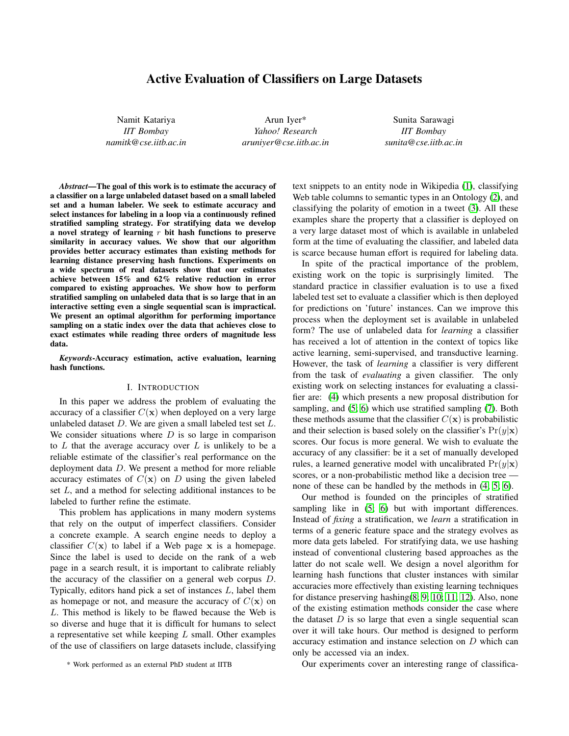# Active Evaluation of Classifiers on Large Datasets

Namit Katariya *IIT Bombay namitk@cse.iitb.ac.in*

Arun Iyer\* *Yahoo! Research aruniyer@cse.iitb.ac.in*

Sunita Sarawagi *IIT Bombay sunita@cse.iitb.ac.in*

*Abstract*—The goal of this work is to estimate the accuracy of a classifier on a large unlabeled dataset based on a small labeled set and a human labeler. We seek to estimate accuracy and select instances for labeling in a loop via a continuously refined stratified sampling strategy. For stratifying data we develop a novel strategy of learning  $r$  bit hash functions to preserve similarity in accuracy values. We show that our algorithm provides better accuracy estimates than existing methods for learning distance preserving hash functions. Experiments on a wide spectrum of real datasets show that our estimates achieve between 15% and 62% relative reduction in error compared to existing approaches. We show how to perform stratified sampling on unlabeled data that is so large that in an interactive setting even a single sequential scan is impractical. We present an optimal algorithm for performing importance sampling on a static index over the data that achieves close to exact estimates while reading three orders of magnitude less data.

*Keywords*-Accuracy estimation, active evaluation, learning hash functions.

### I. INTRODUCTION

In this paper we address the problem of evaluating the accuracy of a classifier  $C(\mathbf{x})$  when deployed on a very large unlabeled dataset  $D$ . We are given a small labeled test set  $L$ . We consider situations where  $D$  is so large in comparison to  $L$  that the average accuracy over  $L$  is unlikely to be a reliable estimate of the classifier's real performance on the deployment data D. We present a method for more reliable accuracy estimates of  $C(\mathbf{x})$  on D using the given labeled set L, and a method for selecting additional instances to be labeled to further refine the estimate.

This problem has applications in many modern systems that rely on the output of imperfect classifiers. Consider a concrete example. A search engine needs to deploy a classifier  $C(\mathbf{x})$  to label if a Web page x is a homepage. Since the label is used to decide on the rank of a web page in a search result, it is important to calibrate reliably the accuracy of the classifier on a general web corpus D. Typically, editors hand pick a set of instances L, label them as homepage or not, and measure the accuracy of  $C(\mathbf{x})$  on L. This method is likely to be flawed because the Web is so diverse and huge that it is difficult for humans to select a representative set while keeping L small. Other examples of the use of classifiers on large datasets include, classifying text snippets to an entity node in Wikipedia [\(1\)](#page-9-0), classifying Web table columns to semantic types in an Ontology [\(2\)](#page-9-1), and classifying the polarity of emotion in a tweet [\(3\)](#page-9-2). All these examples share the property that a classifier is deployed on a very large dataset most of which is available in unlabeled form at the time of evaluating the classifier, and labeled data is scarce because human effort is required for labeling data.

In spite of the practical importance of the problem, existing work on the topic is surprisingly limited. The standard practice in classifier evaluation is to use a fixed labeled test set to evaluate a classifier which is then deployed for predictions on 'future' instances. Can we improve this process when the deployment set is available in unlabeled form? The use of unlabeled data for *learning* a classifier has received a lot of attention in the context of topics like active learning, semi-supervised, and transductive learning. However, the task of *learning* a classifier is very different from the task of *evaluating* a given classifier. The only existing work on selecting instances for evaluating a classifier are: [\(4\)](#page-9-3) which presents a new proposal distribution for sampling, and [\(5;](#page-9-4) [6\)](#page-9-5) which use stratified sampling [\(7\)](#page-9-6). Both these methods assume that the classifier  $C(\mathbf{x})$  is probabilistic and their selection is based solely on the classifier's  $Pr(y|\mathbf{x})$ scores. Our focus is more general. We wish to evaluate the accuracy of any classifier: be it a set of manually developed rules, a learned generative model with uncalibrated  $Pr(y|\mathbf{x})$ scores, or a non-probabilistic method like a decision tree none of these can be handled by the methods in [\(4;](#page-9-3) [5;](#page-9-4) [6\)](#page-9-5).

Our method is founded on the principles of stratified sampling like in  $(5; 6)$  $(5; 6)$  but with important differences. Instead of *fixing* a stratification, we *learn* a stratification in terms of a generic feature space and the strategy evolves as more data gets labeled. For stratifying data, we use hashing instead of conventional clustering based approaches as the latter do not scale well. We design a novel algorithm for learning hash functions that cluster instances with similar accuracies more effectively than existing learning techniques for distance preserving hashing[\(8;](#page-9-7) [9;](#page-9-8) [10;](#page-9-9) [11;](#page-9-10) [12\)](#page-9-11). Also, none of the existing estimation methods consider the case where the dataset  $D$  is so large that even a single sequential scan over it will take hours. Our method is designed to perform accuracy estimation and instance selection on D which can only be accessed via an index.

Our experiments cover an interesting range of classifica-

<sup>\*</sup> Work performed as an external PhD student at IITB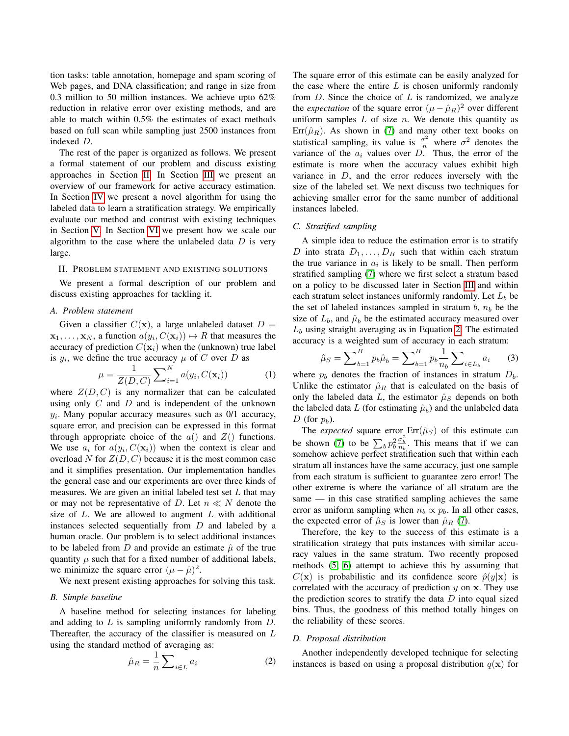tion tasks: table annotation, homepage and spam scoring of Web pages, and DNA classification; and range in size from 0.3 million to 50 million instances. We achieve upto 62% reduction in relative error over existing methods, and are able to match within 0.5% the estimates of exact methods based on full scan while sampling just 2500 instances from indexed D.

The rest of the paper is organized as follows. We present a formal statement of our problem and discuss existing approaches in Section [II.](#page-1-0) In Section [III](#page-2-0) we present an overview of our framework for active accuracy estimation. In Section [IV](#page-3-0) we present a novel algorithm for using the labeled data to learn a stratification strategy. We empirically evaluate our method and contrast with existing techniques in Section [V.](#page-5-0) In Section [VI](#page-7-0) we present how we scale our algorithm to the case where the unlabeled data  $D$  is very large.

## <span id="page-1-0"></span>II. PROBLEM STATEMENT AND EXISTING SOLUTIONS

We present a formal description of our problem and discuss existing approaches for tackling it.

### *A. Problem statement*

Given a classifier  $C(\mathbf{x})$ , a large unlabeled dataset  $D =$  $\mathbf{x}_1, \dots, \mathbf{x}_N$ , a function  $a(y_i, C(\mathbf{x}_i)) \mapsto R$  that measures the accuracy of prediction  $C(\mathbf{x}_i)$  when the (unknown) true label is  $y_i$ , we define the true accuracy  $\mu$  of C over D as

$$
\mu = \frac{1}{Z(D, C)} \sum_{i=1}^{N} a(y_i, C(\mathbf{x}_i))
$$
 (1)

where  $Z(D, C)$  is any normalizer that can be calculated using only  $C$  and  $D$  and is independent of the unknown  $y_i$ . Many popular accuracy measures such as  $0/1$  accuracy, square error, and precision can be expressed in this format through appropriate choice of the  $a()$  and  $Z()$  functions. We use  $a_i$  for  $a(y_i, C(\mathbf{x}_i))$  when the context is clear and overload N for  $Z(D, C)$  because it is the most common case and it simplifies presentation. Our implementation handles the general case and our experiments are over three kinds of measures. We are given an initial labeled test set  $L$  that may or may not be representative of D. Let  $n \ll N$  denote the size of  $L$ . We are allowed to augment  $L$  with additional instances selected sequentially from  $D$  and labeled by a human oracle. Our problem is to select additional instances to be labeled from D and provide an estimate  $\hat{\mu}$  of the true quantity  $\mu$  such that for a fixed number of additional labels, we minimize the square error  $(\mu - \hat{\mu})^2$ .

We next present existing approaches for solving this task.

### *B. Simple baseline*

A baseline method for selecting instances for labeling and adding to L is sampling uniformly randomly from D. Thereafter, the accuracy of the classifier is measured on  $L$ using the standard method of averaging as:

<span id="page-1-1"></span>
$$
\hat{\mu}_R = \frac{1}{n} \sum_{i \in L} a_i \tag{2}
$$

The square error of this estimate can be easily analyzed for the case where the entire  $L$  is chosen uniformly randomly from  $D$ . Since the choice of  $L$  is randomized, we analyze the *expectation* of the square error  $(\mu - \hat{\mu}_R)^2$  over different uniform samples  $L$  of size  $n$ . We denote this quantity as  $Err(\hat{\mu}_R)$ . As shown in [\(7\)](#page-9-6) and many other text books on statistical sampling, its value is  $\frac{\sigma^2}{n}$  where  $\sigma^2$  denotes the variance of the  $a_i$  values over D. Thus, the error of the estimate is more when the accuracy values exhibit high variance in  $D$ , and the error reduces inversely with the size of the labeled set. We next discuss two techniques for achieving smaller error for the same number of additional instances labeled.

### <span id="page-1-2"></span>*C. Stratified sampling*

A simple idea to reduce the estimation error is to stratify D into strata  $D_1, \ldots, D_B$  such that within each stratum the true variance in  $a_i$  is likely to be small. Then perform stratified sampling [\(7\)](#page-9-6) where we first select a stratum based on a policy to be discussed later in Section [III](#page-2-0) and within each stratum select instances uniformly randomly. Let  $L<sub>b</sub>$  be the set of labeled instances sampled in stratum  $b$ ,  $n<sub>b</sub>$  be the size of  $L_b$ , and  $\hat{\mu}_b$  be the estimated accuracy measured over  $L<sub>b</sub>$  using straight averaging as in Equation [2.](#page-1-1) The estimated accuracy is a weighted sum of accuracy in each stratum:

<span id="page-1-3"></span>
$$
\hat{\mu}_S = \sum_{b=1}^B p_b \hat{\mu}_b = \sum_{b=1}^B p_b \frac{1}{n_b} \sum_{i \in L_b} a_i \qquad (3)
$$

where  $p_b$  denotes the fraction of instances in stratum  $D_b$ . Unlike the estimator  $\hat{\mu}_R$  that is calculated on the basis of only the labeled data L, the estimator  $\hat{\mu}_S$  depends on both the labeled data L (for estimating  $\hat{\mu}_b$ ) and the unlabeled data D (for  $p_b$ ).

The *expected* square error  $\text{Err}(\hat{\mu}_S)$  of this estimate can be shown [\(7\)](#page-9-6) to be  $\sum_b p_b^2 \frac{\sigma_b^2}{n_b}$ . This means that if we can somehow achieve perfect stratification such that within each stratum all instances have the same accuracy, just one sample from each stratum is sufficient to guarantee zero error! The other extreme is where the variance of all stratum are the same — in this case stratified sampling achieves the same error as uniform sampling when  $n_b \propto p_b$ . In all other cases, the expected error of  $\hat{\mu}_S$  is lower than  $\hat{\mu}_R$  [\(7\)](#page-9-6).

Therefore, the key to the success of this estimate is a stratification strategy that puts instances with similar accuracy values in the same stratum. Two recently proposed methods [\(5;](#page-9-4) [6\)](#page-9-5) attempt to achieve this by assuming that  $C(\mathbf{x})$  is probabilistic and its confidence score  $\hat{p}(y|\mathbf{x})$  is correlated with the accuracy of prediction  $y$  on  $x$ . They use the prediction scores to stratify the data  $D$  into equal sized bins. Thus, the goodness of this method totally hinges on the reliability of these scores.

### *D. Proposal distribution*

Another independently developed technique for selecting instances is based on using a proposal distribution  $q(\mathbf{x})$  for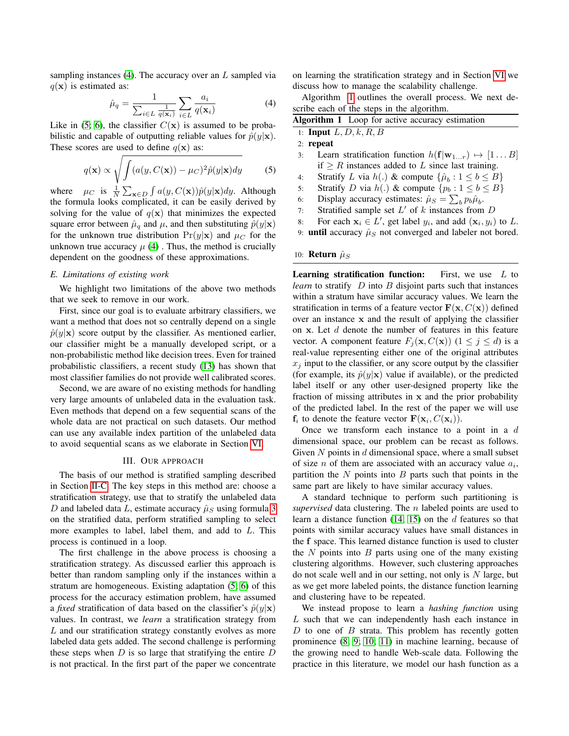sampling instances  $(4)$ . The accuracy over an L sampled via  $q(\mathbf{x})$  is estimated as:

$$
\hat{\mu}_q = \frac{1}{\sum_{i \in L} \frac{1}{q(\mathbf{x}_i)}} \sum_{i \in L} \frac{a_i}{q(\mathbf{x}_i)} \tag{4}
$$

Like in [\(5;](#page-9-4) [6\)](#page-9-5), the classifier  $C(\mathbf{x})$  is assumed to be probabilistic and capable of outputting reliable values for  $\hat{p}(y|\mathbf{x})$ . These scores are used to define  $q(\mathbf{x})$  as:

$$
q(\mathbf{x}) \propto \sqrt{\int (a(y, C(\mathbf{x})) - \mu_C)^2 \hat{p}(y|\mathbf{x}) dy}
$$
 (5)

where  $\mu_C$  is  $\frac{1}{N} \sum_{\mathbf{x} \in D} \int a(y, C(\mathbf{x})) \hat{p}(y|\mathbf{x}) dy$ . Although the formula looks complicated, it can be easily derived by solving for the value of  $q(\mathbf{x})$  that minimizes the expected square error between  $\hat{\mu}_q$  and  $\mu$ , and then substituting  $\hat{p}(y|\mathbf{x})$ for the unknown true distribution  $Pr(y|\mathbf{x})$  and  $\mu_C$  for the unknown true accuracy  $\mu$  [\(4\)](#page-9-3). Thus, the method is crucially dependent on the goodness of these approximations.

## *E. Limitations of existing work*

We highlight two limitations of the above two methods that we seek to remove in our work.

First, since our goal is to evaluate arbitrary classifiers, we want a method that does not so centrally depend on a single  $\hat{p}(y|\mathbf{x})$  score output by the classifier. As mentioned earlier, our classifier might be a manually developed script, or a non-probabilistic method like decision trees. Even for trained probabilistic classifiers, a recent study [\(13\)](#page-9-12) has shown that most classifier families do not provide well calibrated scores.

Second, we are aware of no existing methods for handling very large amounts of unlabeled data in the evaluation task. Even methods that depend on a few sequential scans of the whole data are not practical on such datasets. Our method can use any available index partition of the unlabeled data to avoid sequential scans as we elaborate in Section [VI.](#page-7-0)

## III. OUR APPROACH

<span id="page-2-0"></span>The basis of our method is stratified sampling described in Section [II-C.](#page-1-2) The key steps in this method are: choose a stratification strategy, use that to stratify the unlabeled data D and labeled data L, estimate accuracy  $\hat{\mu}_S$  using formula [3](#page-1-3) on the stratified data, perform stratified sampling to select more examples to label, label them, and add to L. This process is continued in a loop.

The first challenge in the above process is choosing a stratification strategy. As discussed earlier this approach is better than random sampling only if the instances within a stratum are homogeneous. Existing adaptation [\(5;](#page-9-4) [6\)](#page-9-5) of this process for the accuracy estimation problem, have assumed a *fixed* stratification of data based on the classifier's  $\hat{p}(y|\mathbf{x})$ values. In contrast, we *learn* a stratification strategy from L and our stratification strategy constantly evolves as more labeled data gets added. The second challenge is performing these steps when  $D$  is so large that stratifying the entire  $D$ is not practical. In the first part of the paper we concentrate on learning the stratification strategy and in Section [VI](#page-7-0) we discuss how to manage the scalability challenge.

Algorithm [1](#page-2-1) outlines the overall process. We next describe each of the steps in the algorithm.

<span id="page-2-1"></span>

| Algorithm 1 Loop for active accuracy estimation |                                                                            |  |  |  |  |  |
|-------------------------------------------------|----------------------------------------------------------------------------|--|--|--|--|--|
|                                                 | 1: <b>Input</b> $L, D, k, R, B$                                            |  |  |  |  |  |
|                                                 | $2:$ repeat                                                                |  |  |  |  |  |
| 3:                                              | Learn stratification function $h(\mathbf{f} \mathbf{w}_{1r}) \mapsto [1B]$ |  |  |  |  |  |
|                                                 | if $\geq R$ instances added to L since last training.                      |  |  |  |  |  |
| 4:                                              | Stratify L via $h(.)$ & compute $\{\hat{\mu}_h: 1 \leq b \leq B\}$         |  |  |  |  |  |
| 5:                                              | Stratify D via $h(.)$ & compute $\{p_b : 1 \le b \le B\}$                  |  |  |  |  |  |
| 6:                                              | Display accuracy estimates: $\hat{\mu}_S = \sum_b p_b \hat{\mu}_b$ .       |  |  |  |  |  |
| 7:                                              | Stratified sample set $L'$ of k instances from $D$                         |  |  |  |  |  |
| 8:                                              | For each $x_i \in L'$ , get label $y_i$ , and add $(x_i, y_i)$ to L.       |  |  |  |  |  |
|                                                 |                                                                            |  |  |  |  |  |

9: **until** accuracy  $\hat{\mu}_S$  not converged and labeler not bored.

#### 10: **Return**  $\hat{\mu}_S$

**Learning stratification function:** First, we use  $L$  to *learn* to stratify  $D$  into  $B$  disjoint parts such that instances within a stratum have similar accuracy values. We learn the stratification in terms of a feature vector  $\mathbf{F}(\mathbf{x}, C(\mathbf{x}))$  defined over an instance x and the result of applying the classifier on x. Let  $d$  denote the number of features in this feature vector. A component feature  $F_j(\mathbf{x}, C(\mathbf{x}))$   $(1 \leq j \leq d)$  is a real-value representing either one of the original attributes  $x_i$  input to the classifier, or any score output by the classifier (for example, its  $\hat{p}(y|\mathbf{x})$  value if available), or the predicted label itself or any other user-designed property like the fraction of missing attributes in x and the prior probability of the predicted label. In the rest of the paper we will use  $f_i$  to denote the feature vector  $F(\mathbf{x}_i, C(\mathbf{x}_i))$ .

Once we transform each instance to a point in a  $d$ dimensional space, our problem can be recast as follows. Given  $N$  points in  $d$  dimensional space, where a small subset of size  $n$  of them are associated with an accuracy value  $a_i$ , partition the  $N$  points into  $B$  parts such that points in the same part are likely to have similar accuracy values.

A standard technique to perform such partitioning is *supervised* data clustering. The n labeled points are used to learn a distance function  $(14; 15)$  $(14; 15)$  on the d features so that points with similar accuracy values have small distances in the f space. This learned distance function is used to cluster the  $N$  points into  $B$  parts using one of the many existing clustering algorithms. However, such clustering approaches do not scale well and in our setting, not only is  $N$  large, but as we get more labeled points, the distance function learning and clustering have to be repeated.

We instead propose to learn a *hashing function* using L such that we can independently hash each instance in  $D$  to one of  $B$  strata. This problem has recently gotten prominence [\(8;](#page-9-7) [9;](#page-9-8) [10;](#page-9-9) [11\)](#page-9-10) in machine learning, because of the growing need to handle Web-scale data. Following the practice in this literature, we model our hash function as a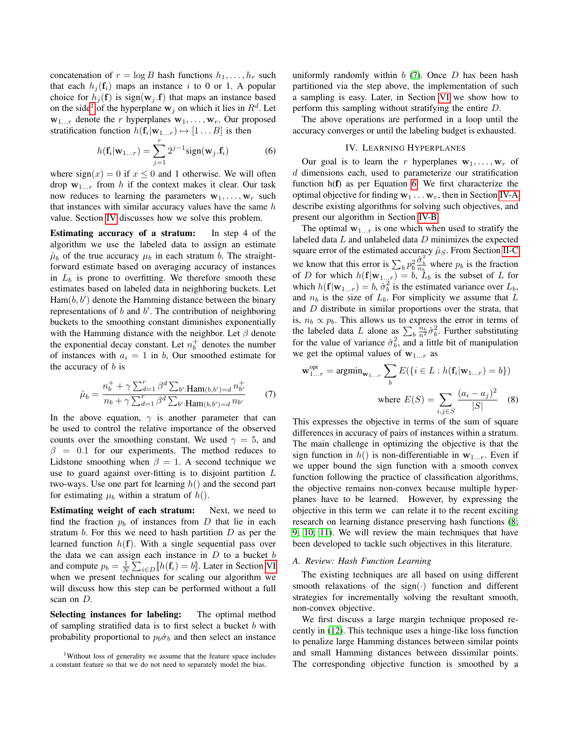concatenation of  $r = \log B$  hash functions  $h_1, \ldots, h_r$  such that each  $h_j(f_i)$  maps an instance i to 0 or 1. A popular choice for  $h_i(\mathbf{f})$  is sign( $\mathbf{w}_i$ , $\mathbf{f}$ ) that maps an instance based on the side<sup>[1](#page-3-1)</sup> of the hyperplane  $w_j$  on which it lies in  $R^d$ . Let  $w_{1...r}$  denote the r hyperplanes  $w_1, \ldots, w_r$ . Our proposed stratification function  $h(\mathbf{f}_i|\mathbf{w}_{1...r}) \mapsto [1 \dots B]$  is then

<span id="page-3-2"></span>
$$
h(\mathbf{f}_i|\mathbf{w}_{1...r}) = \sum_{j=1}^r 2^{j-1} sign(\mathbf{w}_j.\mathbf{f}_i)
$$
 (6)

where  $sign(x) = 0$  if  $x \le 0$  and 1 otherwise. We will often drop  $w_{1...r}$  from h if the context makes it clear. Our task now reduces to learning the parameters  $w_1, \ldots, w_r$  such that instances with similar accuracy values have the same  $h$ value. Section [IV](#page-3-0) discusses how we solve this problem.

Estimating accuracy of a stratum: In step 4 of the algorithm we use the labeled data to assign an estimate  $\hat{\mu}_b$  of the true accuracy  $\mu_b$  in each stratum b. The straightforward estimate based on averaging accuracy of instances in  $L_b$  is prone to overfitting. We therefore smooth these estimates based on labeled data in neighboring buckets. Let  $\text{Ham}(b, b')$  denote the Hamming distance between the binary representations of  $b$  and  $b'$ . The contribution of neighboring buckets to the smoothing constant diminishes exponentially with the Hamming distance with the neighbor. Let  $\beta$  denote the exponential decay constant. Let  $n_b^+$  denotes the number of instances with  $a_i = 1$  in b, Our smoothed estimate for the accuracy of  $b$  is

$$
\hat{\mu}_b = \frac{n_b^+ + \gamma \sum_{d=1}^r \beta^d \sum_{b'} \text{Ham}(b, b') = d n_b^+}{n_b + \gamma \sum_{d=1}^r \beta^d \sum_{b'} \text{Ham}(b, b') = d n_{b'}} \tag{7}
$$

In the above equation,  $\gamma$  is another parameter that can be used to control the relative importance of the observed counts over the smoothing constant. We used  $\gamma = 5$ , and  $\beta = 0.1$  for our experiments. The method reduces to Lidstone smoothing when  $\beta = 1$ . A second technique we use to guard against over-fitting is to disjoint partition L two-ways. Use one part for learning  $h()$  and the second part for estimating  $\mu_b$  within a stratum of  $h(.)$ .

Estimating weight of each stratum: Next, we need to find the fraction  $p_b$  of instances from D that lie in each stratum  $b$ . For this we need to hash partition  $D$  as per the learned function  $h(f)$ . With a single sequential pass over the data we can assign each instance in  $D$  to a bucket  $b$ and compute  $p_b = \frac{1}{N} \sum_{i \in D} [h(\mathbf{f}_i) = b]$ . Later in Section [VI](#page-7-0) when we present techniques for scaling our algorithm we will discuss how this step can be performed without a full scan on D.

Selecting instances for labeling: The optimal method of sampling stratified data is to first select a bucket  $b$  with probability proportional to  $p_b \hat{\sigma}_b$  and then select an instance uniformly randomly within  $b(7)$  $b(7)$ . Once  $D$  has been hash partitioned via the step above, the implementation of such a sampling is easy. Later, in Section [VI](#page-7-0) we show how to perform this sampling without stratifying the entire D.

The above operations are performed in a loop until the accuracy converges or until the labeling budget is exhausted.

### IV. LEARNING HYPERPLANES

<span id="page-3-0"></span>Our goal is to learn the r hyperplanes  $w_1, \ldots, w_r$  of d dimensions each, used to parameterize our stratification function h(f) as per Equation [6.](#page-3-2) We first characterize the optimal objective for finding  $w_1 \ldots w_r$ , then in Section [IV-A](#page-3-3) describe existing algorithms for solving such objectives, and present our algorithm in Section [IV-B.](#page-4-0)

The optimal  $w_{1...r}$  is one which when used to stratify the labeled data L and unlabeled data D minimizes the expected square error of the estimated accuracy  $\hat{\mu}_S$ . From Section [II-C](#page-1-2) we know that this error is  $\sum_b p_b^2 \frac{\hat{\sigma}_b^2}{n_b}$  where  $p_b$  is the fraction of D for which  $h(\mathbf{f}|\mathbf{w}_{1...r}) = b$ ,  $\tilde{L}_b$  is the subset of L for which  $h(\mathbf{f}|\mathbf{w}_{1...r}) = b$ ,  $\hat{\sigma}_b^2$  is the estimated variance over  $L_b$ , and  $n_b$  is the size of  $L_b$ . For simplicity we assume that L and D distribute in similar proportions over the strata, that is,  $n_b \propto p_b$ . This allows us to express the error in terms of the labeled data L alone as  $\sum_{b} \frac{n_b}{n^2} \hat{\sigma}_b^2$ . Further substituting for the value of variance  $\hat{\sigma}_b^2$ , and a little bit of manipulation we get the optimal values of  $w_{1...r}$  as

<span id="page-3-4"></span>
$$
\mathbf{w}_{1...r}^{\text{opt}} = \operatorname{argmin}_{\mathbf{w}_{1...r}} \sum_{b} E(\{i \in L : h(\mathbf{f}_i | \mathbf{w}_{1...r}) = b\})
$$
  
where  $E(S) = \sum_{i,j \in S} \frac{(a_i - a_j)^2}{|S|}$  (8)

This expresses the objective in terms of the sum of square differences in accuracy of pairs of instances within a stratum. The main challenge in optimizing the objective is that the sign function in  $h()$  is non-differentiable in  $w_{1...r}$ . Even if we upper bound the sign function with a smooth convex function following the practice of classification algorithms, the objective remains non-convex because multiple hyperplanes have to be learned. However, by expressing the objective in this term we can relate it to the recent exciting research on learning distance preserving hash functions [\(8;](#page-9-7) [9;](#page-9-8) [10;](#page-9-9) [11\)](#page-9-10). We will review the main techniques that have been developed to tackle such objectives in this literature.

### <span id="page-3-3"></span>*A. Review: Hash Function Learning*

The existing techniques are all based on using different smooth relaxations of the sign $(\cdot)$  function and different strategies for incrementally solving the resultant smooth, non-convex objective.

We first discuss a large margin technique proposed recently in [\(12\)](#page-9-11). This technique uses a hinge-like loss function to penalize large Hamming distances between similar points and small Hamming distances between dissimilar points. The corresponding objective function is smoothed by a

<span id="page-3-1"></span><sup>&</sup>lt;sup>1</sup>Without loss of generality we assume that the feature space includes a constant feature so that we do not need to separately model the bias.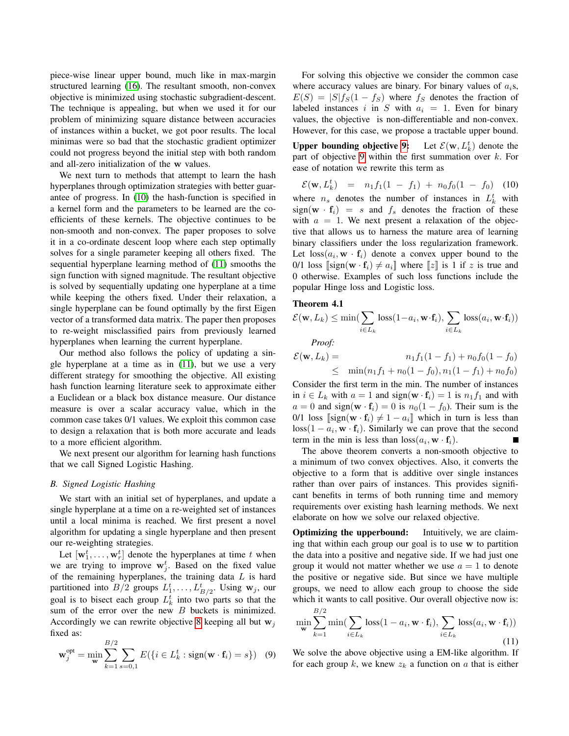piece-wise linear upper bound, much like in max-margin structured learning [\(16\)](#page-9-15). The resultant smooth, non-convex objective is minimized using stochastic subgradient-descent. The technique is appealing, but when we used it for our problem of minimizing square distance between accuracies of instances within a bucket, we got poor results. The local minimas were so bad that the stochastic gradient optimizer could not progress beyond the initial step with both random and all-zero initialization of the w values.

We next turn to methods that attempt to learn the hash hyperplanes through optimization strategies with better guarantee of progress. In [\(10\)](#page-9-9) the hash-function is specified in a kernel form and the parameters to be learned are the coefficients of these kernels. The objective continues to be non-smooth and non-convex. The paper proposes to solve it in a co-ordinate descent loop where each step optimally solves for a single parameter keeping all others fixed. The sequential hyperplane learning method of [\(11\)](#page-9-10) smooths the sign function with signed magnitude. The resultant objective is solved by sequentially updating one hyperplane at a time while keeping the others fixed. Under their relaxation, a single hyperplane can be found optimally by the first Eigen vector of a transformed data matrix. The paper then proposes to re-weight misclassified pairs from previously learned hyperplanes when learning the current hyperplane.

Our method also follows the policy of updating a single hyperplane at a time as in [\(11\)](#page-9-10), but we use a very different strategy for smoothing the objective. All existing hash function learning literature seek to approximate either a Euclidean or a black box distance measure. Our distance measure is over a scalar accuracy value, which in the common case takes 0/1 values. We exploit this common case to design a relaxation that is both more accurate and leads to a more efficient algorithm.

We next present our algorithm for learning hash functions that we call Signed Logistic Hashing.

# <span id="page-4-0"></span>*B. Signed Logistic Hashing*

We start with an initial set of hyperplanes, and update a single hyperplane at a time on a re-weighted set of instances until a local minima is reached. We first present a novel algorithm for updating a single hyperplane and then present our re-weighting strategies.

Let  $[\mathbf{w}_1^t, \dots, \mathbf{w}_r^t]$  denote the hyperplanes at time t when we are trying to improve  $w_j^t$ . Based on the fixed value of the remaining hyperplanes, the training data  $L$  is hard partitioned into  $B/2$  groups  $L_1^t, \ldots, L_{B/2}^t$ . Using  $\mathbf{w}_j$ , our goal is to bisect each group  $L_k^t$  into two parts so that the sum of the error over the new  $B$  buckets is minimized. Accordingly we can rewrite objective [8](#page-3-4) keeping all but  $w_j$ fixed as:

<span id="page-4-1"></span>
$$
\mathbf{w}_j^{\text{opt}} = \min_{\mathbf{w}} \sum_{k=1}^{B/2} \sum_{s=0,1} E(\{i \in L_k^t : \text{sign}(\mathbf{w} \cdot \mathbf{f}_i) = s\}) \quad (9)
$$

For solving this objective we consider the common case where accuracy values are binary. For binary values of  $a_i$ s,  $E(S) = |S|f_S(1 - f_S)$  where  $f_S$  denotes the fraction of labeled instances i in S with  $a_i = 1$ . Even for binary values, the objective is non-differentiable and non-convex. However, for this case, we propose a tractable upper bound.

Upper bounding objective [9:](#page-4-1)  $k \choose k$  denote the part of objective [9](#page-4-1) within the first summation over  $k$ . For ease of notation we rewrite this term as

$$
\mathcal{E}(\mathbf{w}, L_k^t) = n_1 f_1 (1 - f_1) + n_0 f_0 (1 - f_0) \quad (10)
$$

where  $n_s$  denotes the number of instances in  $L_k^t$  with  $sign(\mathbf{w} \cdot \mathbf{f}_i) = s$  and  $f_s$  denotes the fraction of these with  $a = 1$ . We next present a relaxation of the objective that allows us to harness the mature area of learning binary classifiers under the loss regularization framework. Let  $\text{loss}(a_i, \mathbf{w} \cdot \mathbf{f}_i)$  denote a convex upper bound to the 0/1 loss  $[\text{sign}(\mathbf{w} \cdot \mathbf{f}_i) \neq a_i]$  where  $[z]$  is 1 if z is true and 0 otherwise. Examples of such loss functions include the popular Hinge loss and Logistic loss.

### Theorem 4.1

$$
\mathcal{E}(\mathbf{w}, L_k) \le \min\left(\sum_{i \in L_k} \text{loss}(1 - a_i, \mathbf{w} \cdot \mathbf{f}_i), \sum_{i \in L_k} \text{loss}(a_i, \mathbf{w} \cdot \mathbf{f}_i)\right)
$$

*Proof:*

$$
\mathcal{E}(\mathbf{w}, L_k) = n_1 f_1 (1 - f_1) + n_0 f_0 (1 - f_0)
$$
  
\n
$$
\leq \min(n_1 f_1 + n_0 (1 - f_0), n_1 (1 - f_1) + n_0 f_0)
$$

Consider the first term in the min. The number of instances in  $i \in L_k$  with  $a = 1$  and sign( $\mathbf{w} \cdot \mathbf{f}_i$ ) = 1 is  $n_1 f_1$  and with  $a = 0$  and sign(w · f<sub>i</sub>) = 0 is  $n_0(1 - f_0)$ . Their sum is the 0/1 loss  $[\text{sign}(\mathbf{w} \cdot \mathbf{f}_i) \neq 1 - a_i]$  which in turn is less than  $\cos(1 - a_i, \mathbf{w} \cdot \mathbf{f}_i)$ . Similarly we can prove that the second term in the min is less than  $loss(a_i, \mathbf{w} \cdot \mathbf{f}_i)$ .

The above theorem converts a non-smooth objective to a minimum of two convex objectives. Also, it converts the objective to a form that is additive over single instances rather than over pairs of instances. This provides significant benefits in terms of both running time and memory requirements over existing hash learning methods. We next elaborate on how we solve our relaxed objective.

**Optimizing the upperbound:** Intuitively, we are claiming that within each group our goal is to use w to partition the data into a positive and negative side. If we had just one group it would not matter whether we use  $a = 1$  to denote the positive or negative side. But since we have multiple groups, we need to allow each group to choose the side which it wants to call positive. Our overall objective now is:  $B/2$ 

$$
\min_{\mathbf{w}} \sum_{k=1}^{\infty} \min(\sum_{i \in L_k} \text{loss}(1 - a_i, \mathbf{w} \cdot \mathbf{f}_i), \sum_{i \in L_k} \text{loss}(a_i, \mathbf{w} \cdot \mathbf{f}_i))
$$
\n(11)

We solve the above objective using a EM-like algorithm. If for each group  $k$ , we knew  $z_k$  a function on  $a$  that is either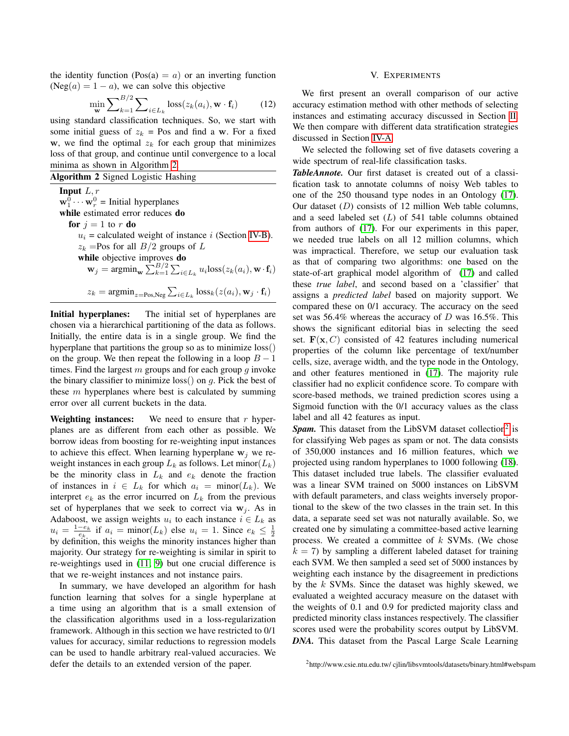the identity function (Pos(a) =  $a$ ) or an inverting function  $(Neg(a) = 1 - a)$ , we can solve this objective

$$
\min_{\mathbf{w}} \sum_{k=1}^{B/2} \sum_{i \in L_k} \text{loss}(z_k(a_i), \mathbf{w} \cdot \mathbf{f}_i)
$$
 (12)

using standard classification techniques. So, we start with some initial guess of  $z_k$  = Pos and find a w. For a fixed w, we find the optimal  $z_k$  for each group that minimizes loss of that group, and continue until convergence to a local minima as shown in Algorithm [2.](#page-5-1)

<span id="page-5-1"></span>

| Algorithm 2 Signed Logistic Hashing                                                                                                            |  |  |  |  |  |  |
|------------------------------------------------------------------------------------------------------------------------------------------------|--|--|--|--|--|--|
| <b>Input</b> $L, r$                                                                                                                            |  |  |  |  |  |  |
| $\mathbf{w}_1^0 \cdots \mathbf{w}_r^0$ = Initial hyperplanes                                                                                   |  |  |  |  |  |  |
| while estimated error reduces do                                                                                                               |  |  |  |  |  |  |
| for $i = 1$ to r do                                                                                                                            |  |  |  |  |  |  |
| $u_i$ = calculated weight of instance i (Section IV-B).                                                                                        |  |  |  |  |  |  |
| $z_k$ =Pos for all $B/2$ groups of L                                                                                                           |  |  |  |  |  |  |
| while objective improves do                                                                                                                    |  |  |  |  |  |  |
| $\mathbf{w}_j = \operatorname{argmin}_{\mathbf{w}} \sum_{k=1}^{B/2} \sum_{i \in L_k} u_i \text{loss}(z_k(a_i), \mathbf{w} \cdot \mathbf{f}_i)$ |  |  |  |  |  |  |
| $z_k = \text{argmin}_{z = \text{Pos}, \text{Neg}} \sum_{i \in L_k} \text{loss}_k(z(a_i), \mathbf{w}_j \cdot \mathbf{f}_i)$                     |  |  |  |  |  |  |

Initial hyperplanes: The initial set of hyperplanes are chosen via a hierarchical partitioning of the data as follows. Initially, the entire data is in a single group. We find the hyperplane that partitions the group so as to minimize loss() on the group. We then repeat the following in a loop  $B - 1$ times. Find the largest  $m$  groups and for each group  $q$  invoke the binary classifier to minimize loss() on  $q$ . Pick the best of these  $m$  hyperplanes where best is calculated by summing error over all current buckets in the data.

Weighting instances: We need to ensure that  $r$  hyperplanes are as different from each other as possible. We borrow ideas from boosting for re-weighting input instances to achieve this effect. When learning hyperplane  $w_j$  we reweight instances in each group  $L_k$  as follows. Let minor  $(L_k)$ be the minority class in  $L_k$  and  $e_k$  denote the fraction of instances in  $i \in L_k$  for which  $a_i = \text{minor}(L_k)$ . We interpret  $e_k$  as the error incurred on  $L_k$  from the previous set of hyperplanes that we seek to correct via  $w_i$ . As in Adaboost, we assign weights  $u_i$  to each instance  $i \in L_k$  as  $u_i = \frac{1-e_k}{e_k}$  if  $a_i = \text{minor}(L_k)$  else  $u_i = 1$ . Since  $e_k \leq \frac{1}{2}$ by definition, this weighs the minority instances higher than majority. Our strategy for re-weighting is similar in spirit to re-weightings used in [\(11;](#page-9-10) [9\)](#page-9-8) but one crucial difference is that we re-weight instances and not instance pairs.

In summary, we have developed an algorithm for hash function learning that solves for a single hyperplane at a time using an algorithm that is a small extension of the classification algorithms used in a loss-regularization framework. Although in this section we have restricted to 0/1 values for accuracy, similar reductions to regression models can be used to handle arbitrary real-valued accuracies. We defer the details to an extended version of the paper.

# V. EXPERIMENTS

<span id="page-5-0"></span>We first present an overall comparison of our active accuracy estimation method with other methods of selecting instances and estimating accuracy discussed in Section [II.](#page-1-0) We then compare with different data stratification strategies discussed in Section [IV-A.](#page-3-3)

We selected the following set of five datasets covering a wide spectrum of real-life classification tasks.

*TableAnnote.* Our first dataset is created out of a classification task to annotate columns of noisy Web tables to one of the 250 thousand type nodes in an Ontology [\(17\)](#page-9-16). Our dataset  $(D)$  consists of 12 million Web table columns, and a seed labeled set  $(L)$  of 541 table columns obtained from authors of [\(17\)](#page-9-16). For our experiments in this paper, we needed true labels on all 12 million columns, which was impractical. Therefore, we setup our evaluation task as that of comparing two algorithms: one based on the state-of-art graphical model algorithm of [\(17\)](#page-9-16) and called these *true label*, and second based on a 'classifier' that assigns a *predicted label* based on majority support. We compared these on 0/1 accuracy. The accuracy on the seed set was 56.4% whereas the accuracy of  $D$  was 16.5%. This shows the significant editorial bias in selecting the seed set.  $F(x, C)$  consisted of 42 features including numerical properties of the column like percentage of text/number cells, size, average width, and the type node in the Ontology, and other features mentioned in [\(17\)](#page-9-16). The majority rule classifier had no explicit confidence score. To compare with score-based methods, we trained prediction scores using a Sigmoid function with the 0/1 accuracy values as the class label and all 42 features as input.

Spam. This dataset from the LibSVM dataset collection<sup>[2](#page-5-2)</sup> is for classifying Web pages as spam or not. The data consists of 350,000 instances and 16 million features, which we projected using random hyperplanes to 1000 following [\(18\)](#page-9-17). This dataset included true labels. The classifier evaluated was a linear SVM trained on 5000 instances on LibSVM with default parameters, and class weights inversely proportional to the skew of the two classes in the train set. In this data, a separate seed set was not naturally available. So, we created one by simulating a committee-based active learning process. We created a committee of  $k$  SVMs. (We chose  $k = 7$ ) by sampling a different labeled dataset for training each SVM. We then sampled a seed set of 5000 instances by weighting each instance by the disagreement in predictions by the k SVMs. Since the dataset was highly skewed, we evaluated a weighted accuracy measure on the dataset with the weights of 0.1 and 0.9 for predicted majority class and predicted minority class instances respectively. The classifier scores used were the probability scores output by LibSVM. *DNA.* This dataset from the Pascal Large Scale Learning

<span id="page-5-2"></span><sup>2</sup>http://www.csie.ntu.edu.tw/ cjlin/libsvmtools/datasets/binary.html#webspam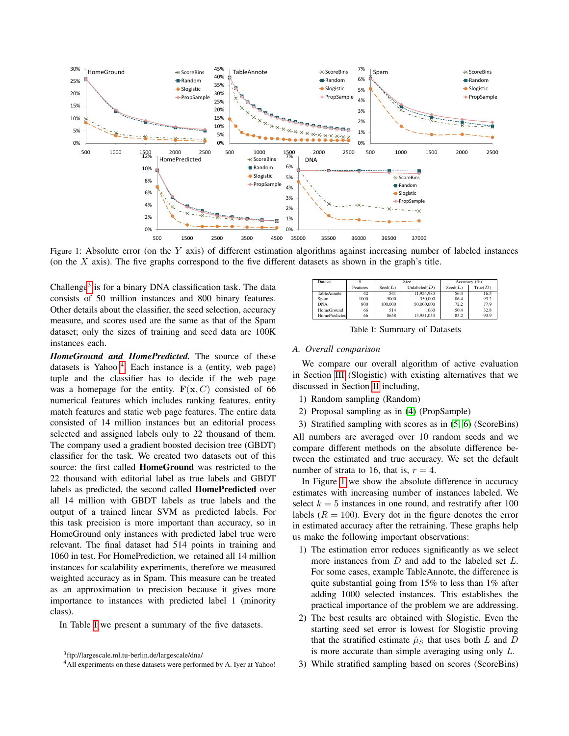<span id="page-6-3"></span>

Figure 1: Absolute error (on the  $Y$  axis) of different estimation algorithms against increasing number of labeled instances (on the  $X$  axis). The five graphs correspond to the five different datasets as shown in the graph's title.

Challenge<sup>[3](#page-6-0)</sup> is for a binary DNA classification task. The data consists of 50 million instances and 800 binary features. Other details about the classifier, the seed selection, accuracy measure, and scores used are the same as that of the Spam dataset; only the sizes of training and seed data are 100K instances each.

*HomeGround and HomePredicted.* The source of these datasets is Yahoo!<sup>[4](#page-6-1)</sup>. Each instance is a (entity, web page) tuple and the classifier has to decide if the web page was a homepage for the entity.  $F(x, C)$  consisted of 66 numerical features which includes ranking features, entity match features and static web page features. The entire data consisted of 14 million instances but an editorial process selected and assigned labels only to 22 thousand of them. The company used a gradient boosted decision tree (GBDT) classifier for the task. We created two datasets out of this source: the first called HomeGround was restricted to the 22 thousand with editorial label as true labels and GBDT labels as predicted, the second called HomePredicted over all 14 million with GBDT labels as true labels and the output of a trained linear SVM as predicted labels. For this task precision is more important than accuracy, so in HomeGround only instances with predicted label true were relevant. The final dataset had 514 points in training and 1060 in test. For HomePrediction, we retained all 14 million instances for scalability experiments, therefore we measured weighted accuracy as in Spam. This measure can be treated as an approximation to precision because it gives more importance to instances with predicted label 1 (minority class).

In Table [I](#page-6-2) we present a summary of the five datasets.

<span id="page-6-2"></span>

| Dataset       |          | Size.   |                 | Accuracy $(\% )$ |         |
|---------------|----------|---------|-----------------|------------------|---------|
|               | Features | Seed(L) | Unlabeled $(D)$ | Seed(L)          | True(D) |
| TableAnnote   | 42       | 541     | 11.954.983      | 56.4             | 16.5    |
| Spam          | 1000     | 5000    | 350,000         | 86.4             | 93.2    |
| <b>DNA</b>    | 800      | 100,000 | 50,000,000      | 72.2             | 77.9    |
| HomeGround    | 66       | 514     | 1060            | 50.4             | 32.8    |
| HomePredicted | 66       | 8658    | 13.951.053      | 83.2             | 93.9    |

Table I: Summary of Datasets

### *A. Overall comparison*

We compare our overall algorithm of active evaluation in Section [III](#page-2-0) (Slogistic) with existing alternatives that we discussed in Section [II](#page-1-0) including,

- 1) Random sampling (Random)
- 2) Proposal sampling as in [\(4\)](#page-9-3) (PropSample)

3) Stratified sampling with scores as in [\(5;](#page-9-4) [6\)](#page-9-5) (ScoreBins) All numbers are averaged over 10 random seeds and we compare different methods on the absolute difference between the estimated and true accuracy. We set the default number of strata to 16, that is,  $r = 4$ .

In Figure [1](#page-6-3) we show the absolute difference in accuracy estimates with increasing number of instances labeled. We select  $k = 5$  instances in one round, and restratify after 100 labels  $(R = 100)$ . Every dot in the figure denotes the error in estimated accuracy after the retraining. These graphs help us make the following important observations:

- 1) The estimation error reduces significantly as we select more instances from  $D$  and add to the labeled set  $L$ . For some cases, example TableAnnote, the difference is quite substantial going from 15% to less than 1% after adding 1000 selected instances. This establishes the practical importance of the problem we are addressing.
- The best results are obtained with Slogistic. Even the starting seed set error is lowest for Slogistic proving that the stratified estimate  $\hat{\mu}_S$  that uses both L and D is more accurate than simple averaging using only L.
- 3) While stratified sampling based on scores (ScoreBins)

<span id="page-6-0"></span><sup>3</sup> ftp://largescale.ml.tu-berlin.de/largescale/dna/

<span id="page-6-1"></span><sup>&</sup>lt;sup>4</sup>All experiments on these datasets were performed by A. Iyer at Yahoo!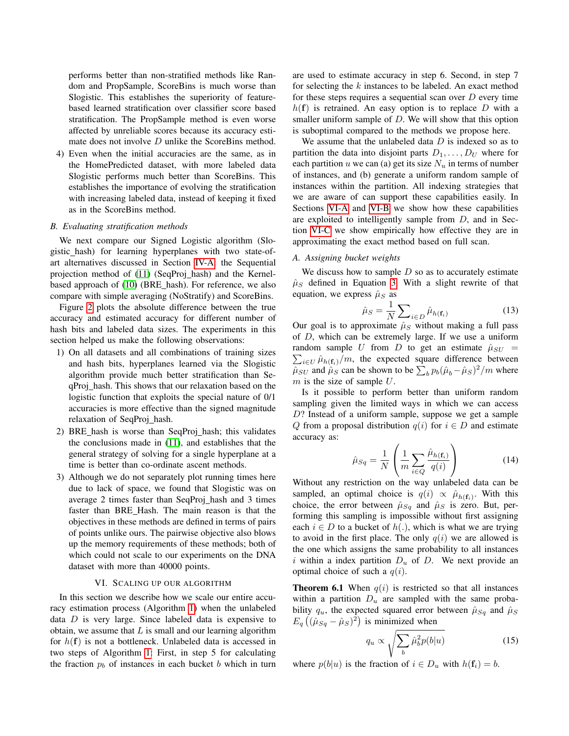performs better than non-stratified methods like Random and PropSample, ScoreBins is much worse than Slogistic. This establishes the superiority of featurebased learned stratification over classifier score based stratification. The PropSample method is even worse affected by unreliable scores because its accuracy estimate does not involve *D* unlike the ScoreBins method.

4) Even when the initial accuracies are the same, as in the HomePredicted dataset, with more labeled data Slogistic performs much better than ScoreBins. This establishes the importance of evolving the stratification with increasing labeled data, instead of keeping it fixed as in the ScoreBins method.

### *B. Evaluating stratification methods*

We next compare our Signed Logistic algorithm (Slogistic hash) for learning hyperplanes with two state-ofart alternatives discussed in Section [IV-A:](#page-3-3) the Sequential projection method of [\(11\)](#page-9-10) (SeqProj hash) and the Kernel-based approach of [\(10\)](#page-9-9) (BRE\_hash). For reference, we also compare with simple averaging (NoStratify) and ScoreBins.

Figure [2](#page-8-0) plots the absolute difference between the true accuracy and estimated accuracy for different number of hash bits and labeled data sizes. The experiments in this section helped us make the following observations:

- 1) On all datasets and all combinations of training sizes and hash bits, hyperplanes learned via the Slogistic algorithm provide much better stratification than SeqProj hash. This shows that our relaxation based on the logistic function that exploits the special nature of 0/1 accuracies is more effective than the signed magnitude relaxation of SeqProj\_hash.
- 2) BRE hash is worse than SeqProj hash; this validates the conclusions made in [\(11\)](#page-9-10), and establishes that the general strategy of solving for a single hyperplane at a time is better than co-ordinate ascent methods.
- 3) Although we do not separately plot running times here due to lack of space, we found that Slogistic was on average 2 times faster than SeqProj\_hash and 3 times faster than BRE Hash. The main reason is that the objectives in these methods are defined in terms of pairs of points unlike ours. The pairwise objective also blows up the memory requirements of these methods; both of which could not scale to our experiments on the DNA dataset with more than 40000 points.

### VI. SCALING UP OUR ALGORITHM

<span id="page-7-0"></span>In this section we describe how we scale our entire accuracy estimation process (Algorithm [1\)](#page-2-1) when the unlabeled data D is very large. Since labeled data is expensive to obtain, we assume that  $L$  is small and our learning algorithm for  $h(f)$  is not a bottleneck. Unlabeled data is accessed in two steps of Algorithm [1:](#page-2-1) First, in step 5 for calculating the fraction  $p_b$  of instances in each bucket b which in turn are used to estimate accuracy in step 6. Second, in step 7 for selecting the  $k$  instances to be labeled. An exact method for these steps requires a sequential scan over  $D$  every time  $h(f)$  is retrained. An easy option is to replace D with a smaller uniform sample of D. We will show that this option is suboptimal compared to the methods we propose here.

We assume that the unlabeled data  $D$  is indexed so as to partition the data into disjoint parts  $D_1, \ldots, D_U$  where for each partition u we can (a) get its size  $N_u$  in terms of number of instances, and (b) generate a uniform random sample of instances within the partition. All indexing strategies that we are aware of can support these capabilities easily. In Sections [VI-A](#page-7-1) and [VI-B](#page-8-1) we show how these capabilities are exploited to intelligently sample from D, and in Section [VI-C](#page-8-2) we show empirically how effective they are in approximating the exact method based on full scan.

### <span id="page-7-1"></span>*A. Assigning bucket weights*

We discuss how to sample  $D$  so as to accurately estimate  $\hat{\mu}_S$  defined in Equation [3.](#page-1-3) With a slight rewrite of that equation, we express  $\hat{\mu}_S$  as

$$
\hat{\mu}_S = \frac{1}{N} \sum_{i \in D} \hat{\mu}_{h(\mathbf{f}_i)} \tag{13}
$$

Our goal is to approximate  $\hat{\mu}_S$  without making a full pass of D, which can be extremely large. If we use a uniform  $\sum_{i\in U} \hat{\mu}_{h(\mathbf{f}_i)}/m$ , the expected square difference between random sample U from D to get an estimate  $\hat{\mu}_{SU}$  =  $\hat{\mu}_{SU}$  and  $\hat{\mu}_{S}$  can be shown to be  $\sum_{b} p_b (\hat{\mu}_b - \hat{\mu}_S)^2/m$  where  $m$  is the size of sample  $U$ .

Is it possible to perform better than uniform random sampling given the limited ways in which we can access D? Instead of a uniform sample, suppose we get a sample Q from a proposal distribution  $q(i)$  for  $i \in D$  and estimate accuracy as:

$$
\hat{\mu}_{Sq} = \frac{1}{N} \left( \frac{1}{m} \sum_{i \in Q} \frac{\hat{\mu}_{h(\mathbf{f}_i)}}{q(i)} \right)
$$
(14)

Without any restriction on the way unlabeled data can be sampled, an optimal choice is  $q(i) \propto \hat{\mu}_{h(\mathbf{f}_i)}$ . With this choice, the error between  $\hat{\mu}_{Sq}$  and  $\hat{\mu}_{S}$  is zero. But, performing this sampling is impossible without first assigning each  $i \in D$  to a bucket of  $h(.)$ , which is what we are trying to avoid in the first place. The only  $q(i)$  we are allowed is the one which assigns the same probability to all instances i within a index partition  $D_u$  of D. We next provide an optimal choice of such a  $q(i)$ .

**Theorem 6.1** When  $q(i)$  is restricted so that all instances within a partition  $D_u$  are sampled with the same probability  $q_u$ , the expected squared error between  $\hat{\mu}_{Sq}$  and  $\hat{\mu}_{S}$  $E_q \left( (\hat{\mu}_{Sq} - \hat{\mu}_S)^2 \right)$  is minimized when

<span id="page-7-2"></span>
$$
q_u \propto \sqrt{\sum_b \hat{\mu}_b^2 p(b|u)} \tag{15}
$$

where  $p(b|u)$  is the fraction of  $i \in D_u$  with  $h(\mathbf{f}_i) = b$ .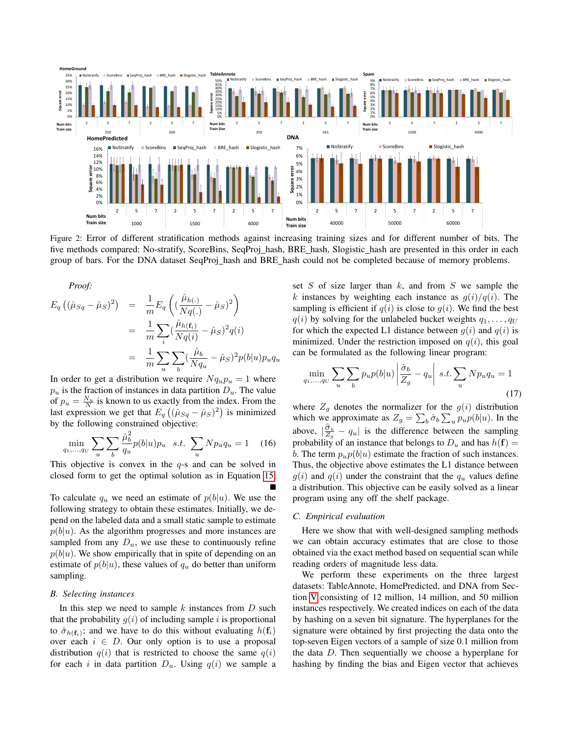<span id="page-8-0"></span>

Figure 2: Error of different stratification methods against increasing training sizes and for different number of bits. The five methods compared: No-stratify, ScoreBins, SeqProj\_hash, BRE\_hash, Slogistic\_hash are presented in this order in each group of bars. For the DNA dataset SeqProj hash and BRE hash could not be completed because of memory problems.

Proof:  
\n
$$
E_q ((\hat{\mu}_{Sq} - \hat{\mu}_S)^2) = \frac{1}{m} E_q \left( (\frac{\hat{\mu}_{h(.)}}{Nq(.)} - \hat{\mu}_S)^2 \right)
$$
\n
$$
= \frac{1}{m} \sum_i (\frac{\hat{\mu}_{h(\mathbf{f}_i)}}{Nq(i)} - \hat{\mu}_S)^2 q(i)
$$
\n
$$
= \frac{1}{m} \sum_u \sum_b (\frac{\hat{\mu}_b}{Nq_u} - \hat{\mu}_S)^2 p(b|u) p_u q_u
$$

In order to get a distribution we require  $Nq_{u}p_{u} = 1$  where  $p_u$  is the fraction of instances in data partition  $D_u$ . The value of  $p_u = \frac{N_u}{N}$  is known to us exactly from the index. From the last expression we get that  $E_q((\hat{\mu}_{Sq} - \hat{\mu}_s)^2)$  is minimized by the following constrained objective:

$$
\min_{q_1,\dots,q_U} \sum_u \sum_b \frac{\hat{\mu}_b^2}{q_u} p(b|u) p_u \quad s.t. \sum_u N p_u q_u = 1 \quad (16)
$$

This objective is convex in the  $q$ -s and can be solved in closed form to get the optimal solution as in Equation [15.](#page-7-2)

To calculate  $q_u$  we need an estimate of  $p(b|u)$ . We use the following strategy to obtain these estimates. Initially, we depend on the labeled data and a small static sample to estimate  $p(b|u)$ . As the algorithm progresses and more instances are sampled from any  $D_u$ , we use these to continuously refine  $p(b|u)$ . We show empirically that in spite of depending on an estimate of  $p(b|u)$ , these values of  $q_u$  do better than uniform sampling.

### <span id="page-8-1"></span>*B. Selecting instances*

In this step we need to sample  $k$  instances from  $D$  such that the probability  $g(i)$  of including sample i is proportional to  $\hat{\sigma}_{h(\mathbf{f}_i)}$ ; and we have to do this without evaluating  $h(\mathbf{f}_i)$ over each  $i \in D$ . Our only option is to use a proposal distribution  $q(i)$  that is restricted to choose the same  $q(i)$ for each i in data partition  $D_u$ . Using  $q(i)$  we sample a set  $S$  of size larger than  $k$ , and from  $S$  we sample the k instances by weighting each instance as  $q(i)/q(i)$ . The sampling is efficient if  $q(i)$  is close to  $q(i)$ . We find the best  $q(i)$  by solving for the unlabeled bucket weights  $q_1, \ldots, q_U$ for which the expected L1 distance between  $q(i)$  and  $q(i)$  is minimized. Under the restriction imposed on  $q(i)$ , this goal can be formulated as the following linear program:

$$
\min_{q_1,\dots,q_U} \sum_u \sum_b p_u p(b|u) \left| \frac{\hat{\sigma}_b}{Z_g} - q_u \right| \, s.t. \sum_u N p_u q_u = 1 \tag{17}
$$

where  $Z_g$  denotes the normalizer for the  $g(i)$  distribution which we approximate as  $Z_g = \sum_b \hat{\sigma}_b \sum_u p_u p(b|u)$ . In the above,  $|\frac{\hat{\sigma}_b}{Z_g} - q_u|$  is the difference between the sampling probability of an instance that belongs to  $D_u$  and has  $h(\mathbf{f}) =$ b. The term  $p_u p(b|u)$  estimate the fraction of such instances. Thus, the objective above estimates the L1 distance between  $g(i)$  and  $q(i)$  under the constraint that the  $q_u$  values define a distribution. This objective can be easily solved as a linear program using any off the shelf package.

### <span id="page-8-2"></span>*C. Empirical evaluation*

Here we show that with well-designed sampling methods we can obtain accuracy estimates that are close to those obtained via the exact method based on sequential scan while reading orders of magnitude less data.

We perform these experiments on the three largest datasets: TableAnnote, HomePredicted, and DNA from Section [V](#page-5-0) consisting of 12 million, 14 million, and 50 million instances respectively. We created indices on each of the data by hashing on a seven bit signature. The hyperplanes for the signature were obtained by first projecting the data onto the top-seven Eigen vectors of a sample of size 0.1 million from the data D. Then sequentially we choose a hyperplane for hashing by finding the bias and Eigen vector that achieves